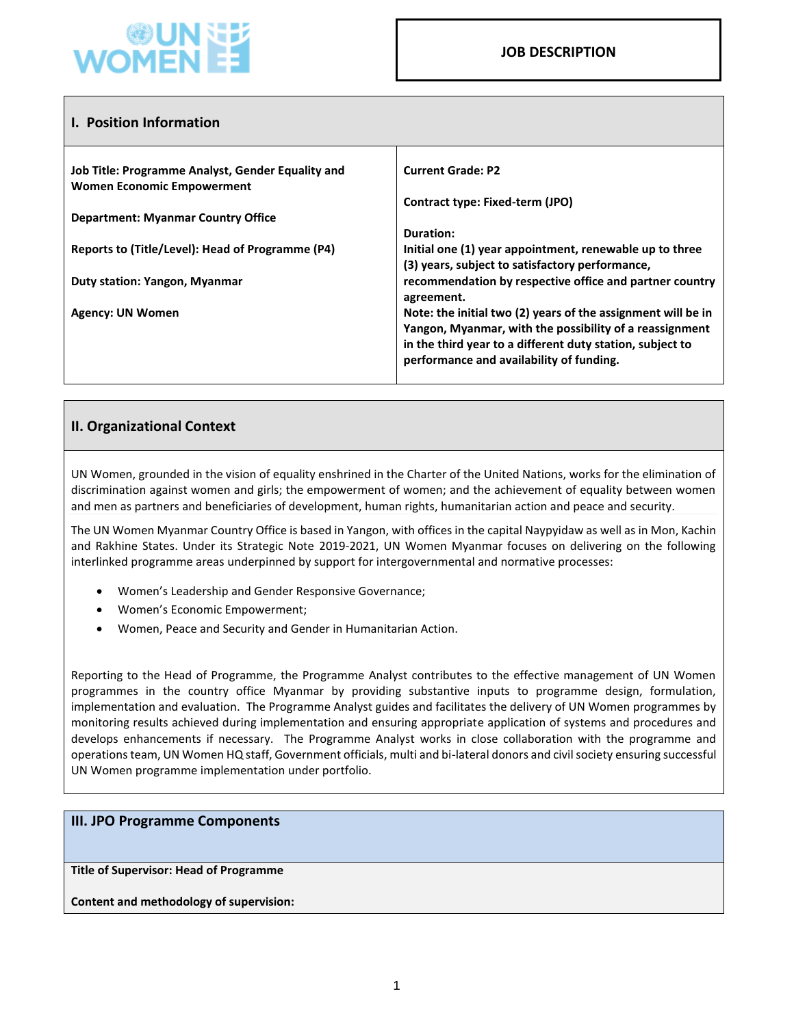

| <b>I. Position Information</b>                                                         |                                                                                                                          |
|----------------------------------------------------------------------------------------|--------------------------------------------------------------------------------------------------------------------------|
| Job Title: Programme Analyst, Gender Equality and<br><b>Women Economic Empowerment</b> | <b>Current Grade: P2</b>                                                                                                 |
|                                                                                        | Contract type: Fixed-term (JPO)                                                                                          |
| <b>Department: Myanmar Country Office</b>                                              |                                                                                                                          |
|                                                                                        | Duration:                                                                                                                |
| Reports to (Title/Level): Head of Programme (P4)                                       | Initial one (1) year appointment, renewable up to three                                                                  |
| <b>Duty station: Yangon, Myanmar</b>                                                   | (3) years, subject to satisfactory performance,<br>recommendation by respective office and partner country<br>agreement. |
| Agency: UN Women                                                                       | Note: the initial two (2) years of the assignment will be in                                                             |
|                                                                                        | Yangon, Myanmar, with the possibility of a reassignment                                                                  |
|                                                                                        | in the third year to a different duty station, subject to<br>performance and availability of funding.                    |
|                                                                                        |                                                                                                                          |

# **II. Organizational Context**

UN Women, grounded in the vision of equality enshrined in the Charter of the United Nations, works for the elimination of discrimination against women and girls; the empowerment of women; and the achievement of equality between women and men as partners and beneficiaries of development, human rights, humanitarian action and peace and security.

The UN Women Myanmar Country Office is based in Yangon, with offices in the capital Naypyidaw as well as in Mon, Kachin and Rakhine States. Under its Strategic Note 2019-2021, UN Women Myanmar focuses on delivering on the following interlinked programme areas underpinned by support for intergovernmental and normative processes:

- Women's Leadership and Gender Responsive Governance;
- Women's Economic Empowerment;
- Women, Peace and Security and Gender in Humanitarian Action.

Reporting to the Head of Programme, the Programme Analyst contributes to the effective management of UN Women programmes in the country office Myanmar by providing substantive inputs to programme design, formulation, implementation and evaluation. The Programme Analyst guides and facilitates the delivery of UN Women programmes by monitoring results achieved during implementation and ensuring appropriate application of systems and procedures and develops enhancements if necessary. The Programme Analyst works in close collaboration with the programme and operations team, UN Women HQ staff, Government officials, multi and bi-lateral donors and civil society ensuring successful UN Women programme implementation under portfolio.

#### **III. JPO Programme Components**

**Title of Supervisor: Head of Programme**

**Content and methodology of supervision:**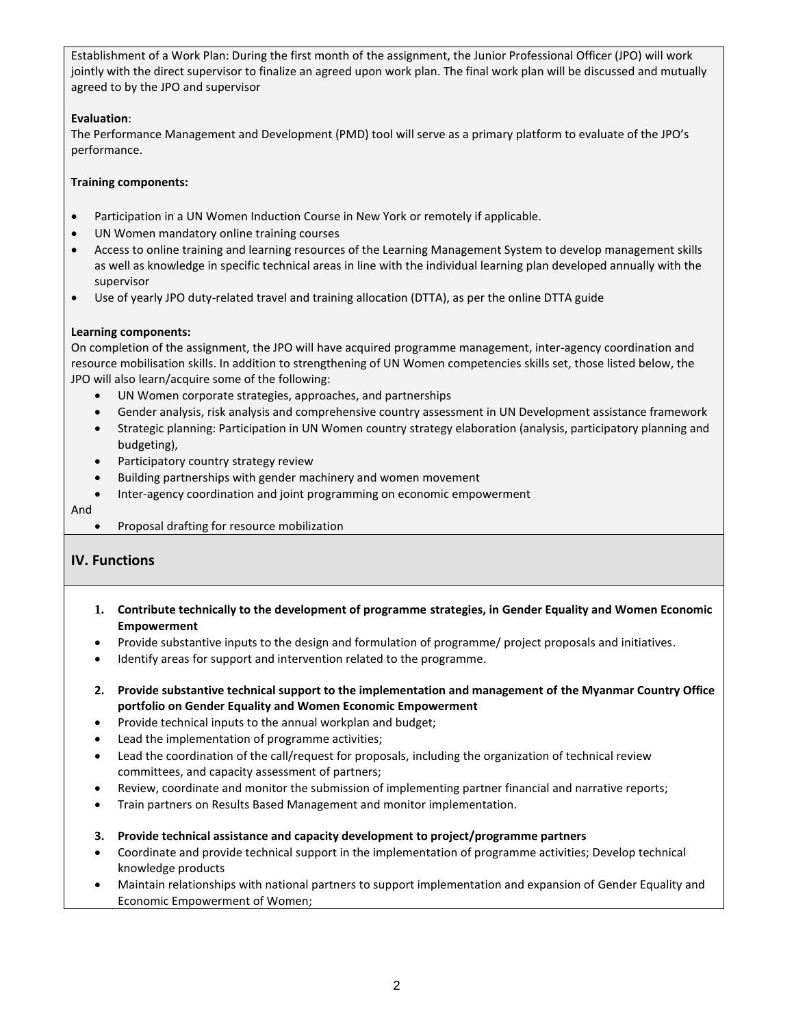Establishment of a Work Plan: During the first month of the assignment, the Junior Professional Officer (JPO) will work jointly with the direct supervisor to finalize an agreed upon work plan. The final work plan will be discussed and mutually agreed to by the JPO and supervisor

## **Evaluation**:

The Performance Management and Development (PMD) tool will serve as a primary platform to evaluate of the JPO's performance.

### **Training components:**

- Participation in a UN Women Induction Course in New York or remotely if applicable.
- UN Women mandatory online training courses
- Access to online training and learning resources of the Learning Management System to develop management skills as well as knowledge in specific technical areas in line with the individual learning plan developed annually with the supervisor
- Use of yearly JPO duty-related travel and training allocation (DTTA), as per the online DTTA guide

#### **Learning components:**

On completion of the assignment, the JPO will have acquired programme management, inter-agency coordination and resource mobilisation skills. In addition to strengthening of UN Women competencies skills set, those listed below, the JPO will also learn/acquire some of the following:

- UN Women corporate strategies, approaches, and partnerships
- Gender analysis, risk analysis and comprehensive country assessment in UN Development assistance framework
- Strategic planning: Participation in UN Women country strategy elaboration (analysis, participatory planning and budgeting),
- Participatory country strategy review
- Building partnerships with gender machinery and women movement
- Inter-agency coordination and joint programming on economic empowerment
- And
	- Proposal drafting for resource mobilization

# **IV. Functions**

- **1. Contribute technically to the development of programme strategies, in Gender Equality and Women Economic Empowerment**
- Provide substantive inputs to the design and formulation of programme/ project proposals and initiatives.
- Identify areas for support and intervention related to the programme.
- **2. Provide substantive technical support to the implementation and management of the Myanmar Country Office portfolio on Gender Equality and Women Economic Empowerment**
- Provide technical inputs to the annual workplan and budget;
- Lead the implementation of programme activities;
- Lead the coordination of the call/request for proposals, including the organization of technical review committees, and capacity assessment of partners;
- Review, coordinate and monitor the submission of implementing partner financial and narrative reports;
- Train partners on Results Based Management and monitor implementation.
- **3. Provide technical assistance and capacity development to project/programme partners**
- Coordinate and provide technical support in the implementation of programme activities; Develop technical knowledge products
- Maintain relationships with national partners to support implementation and expansion of Gender Equality and Economic Empowerment of Women;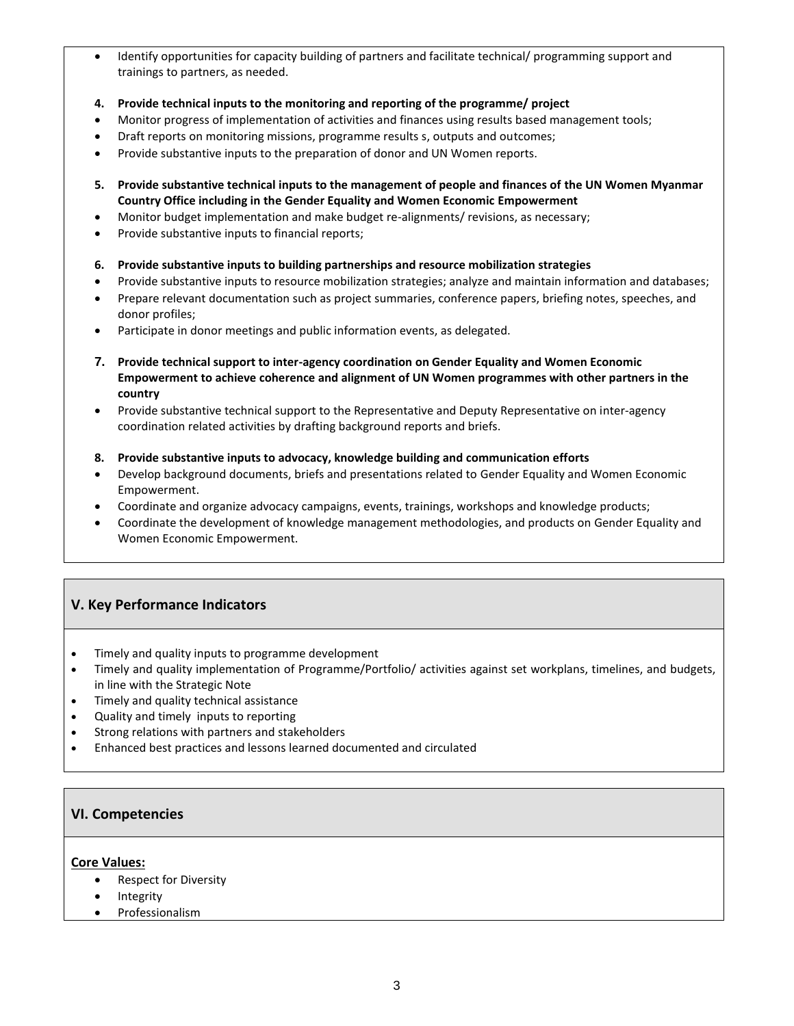- Identify opportunities for capacity building of partners and facilitate technical/ programming support and trainings to partners, as needed.
- **4. Provide technical inputs to the monitoring and reporting of the programme/ project**
- Monitor progress of implementation of activities and finances using results based management tools;
- Draft reports on monitoring missions, programme results s, outputs and outcomes;
- Provide substantive inputs to the preparation of donor and UN Women reports.
- **5. Provide substantive technical inputs to the management of people and finances of the UN Women Myanmar Country Office including in the Gender Equality and Women Economic Empowerment**
- Monitor budget implementation and make budget re-alignments/ revisions, as necessary;
- Provide substantive inputs to financial reports;
- **6. Provide substantive inputs to building partnerships and resource mobilization strategies**
- Provide substantive inputs to resource mobilization strategies; analyze and maintain information and databases;
- Prepare relevant documentation such as project summaries, conference papers, briefing notes, speeches, and donor profiles;
- Participate in donor meetings and public information events, as delegated.
- **7. Provide technical support to inter-agency coordination on Gender Equality and Women Economic Empowerment to achieve coherence and alignment of UN Women programmes with other partners in the country**
- Provide substantive technical support to the Representative and Deputy Representative on inter-agency coordination related activities by drafting background reports and briefs.
- **8. Provide substantive inputs to advocacy, knowledge building and communication efforts**
- Develop background documents, briefs and presentations related to Gender Equality and Women Economic Empowerment.
- Coordinate and organize advocacy campaigns, events, trainings, workshops and knowledge products;
- Coordinate the development of knowledge management methodologies, and products on Gender Equality and Women Economic Empowerment.

# **V. Key Performance Indicators**

- Timely and quality inputs to programme development
- Timely and quality implementation of Programme/Portfolio/ activities against set workplans, timelines, and budgets, in line with the Strategic Note
- Timely and quality technical assistance
- Quality and timely inputs to reporting
- Strong relations with partners and stakeholders
- Enhanced best practices and lessons learned documented and circulated

### **VI. Competencies**

#### **Core Values:**

- Respect for Diversity
- Integrity
- Professionalism